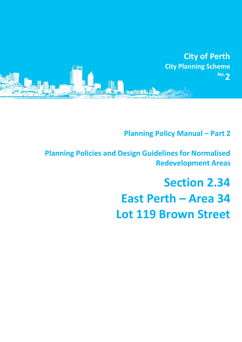

**Planning Policy Manual - Part 2** 

**Planning Policies and Design Guidelines for Normalised Redevelopment Areas**

# **Section 2.34 East Perth – Area 34 Lot 119 Brown Street**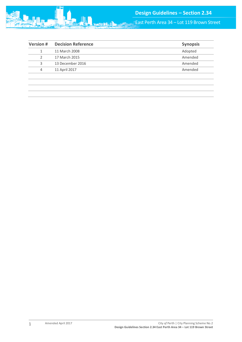

East Perth Area 34 – Lot 119 Brown Street

|   | 11 March 2008    | Adopted |
|---|------------------|---------|
|   | 17 March 2015    | Amended |
| 3 | 13 December 2016 | Amended |
| 4 | 11 April 2017    | Amended |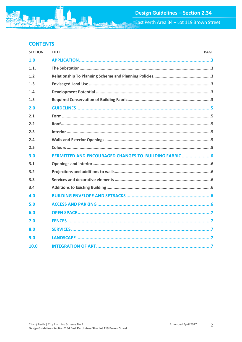# **CONTENTS**

| <b>SECTION</b> | <b>TITLE</b><br><b>PAGE</b>                         |  |
|----------------|-----------------------------------------------------|--|
| 1.0            |                                                     |  |
| 1.1.           |                                                     |  |
| 1.2            |                                                     |  |
| 1.3            |                                                     |  |
| 1.4            |                                                     |  |
| 1.5            |                                                     |  |
| 2.0            |                                                     |  |
| 2.1            |                                                     |  |
| 2.2            |                                                     |  |
| 2.3            |                                                     |  |
| 2.4            |                                                     |  |
| 2.5            |                                                     |  |
| 3.0            | PERMITTED AND ENCOURAGED CHANGES TO BUILDING FABRIC |  |
| 3.1            |                                                     |  |
| 3.2            |                                                     |  |
| 3.3            |                                                     |  |
| 3.4            |                                                     |  |
| 4.0            |                                                     |  |
| 5.0            |                                                     |  |
| 6.0            |                                                     |  |
| 7.0            |                                                     |  |
| 8.0            |                                                     |  |
| 9.0            |                                                     |  |
| 10.0           |                                                     |  |

**min**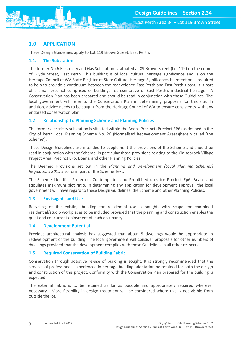# <span id="page-3-0"></span>**1.0 APPLICATION**

These Design Guidelines apply to Lot 119 Brown Street, East Perth.

## <span id="page-3-1"></span>**1.1. The Substation**

The former No.6 Electricity and Gas Substation is situated at 89 Brown Street (Lot 119) on the corner of Glyde Street, East Perth. This building is of local cultural heritage significance and is on the Heritage Council of WA State Register of State Cultural Heritage Significance. Its retention is required to help to provide a continuum between the redeveloped East Perth and East Perth's past. It is part of a small precinct comprised of buildings representative of East Perth's industrial heritage. A Conservation Plan has been prepared and should be read in conjunction with these Guidelines. The local government will refer to the Conservation Plan in determining proposals for this site. In addition, advice needs to be sought from the Heritage Council of WA to ensure consistency with any endorsed conservation plan.

## <span id="page-3-2"></span>**1.2 Relationship To Planning Scheme and Planning Policies**

The former electricity substation is situated within the Boans Precinct (Precinct EP6) as defined in the City of Perth Local Planning Scheme No. 26 (Normalised Redevelopment Areas)(herein called 'the Scheme').

These Design Guidelines are intended to supplement the provisions of the Scheme and should be read in conjunction with the Scheme, in particular those provisions relating to the Claisebrook Village Project Area, Precinct EP6: Boans, and other Planning Policies.

The Deemed Provisions set out in the *Planning and Development (Local Planning Schemes) Regulations 2015* also form part of the Scheme Text.

The Scheme identifies Preferred, Contemplated and Prohibited uses for Precinct Ep6: Boans and stipulates maximum plot ratio. In determining any application for development approval, the local government will have regard to these Design Guidelines, the Scheme and other Planning Policies.

## <span id="page-3-3"></span>**1.3 Envisaged Land Use**

Recycling of the existing building for residential use is sought, with scope for combined residential/studio workplaces to be included provided that the planning and construction enables the quiet and concurrent enjoyment of each occupancy.

## <span id="page-3-4"></span>**1.4 Development Potential**

Previous architectural analysis has suggested that about 5 dwellings would be appropriate in redevelopment of the building. The local government will consider proposals for other numbers of dwellings provided that the development complies with these Guidelines in all other respects.

## <span id="page-3-5"></span>**1.5 Required Conservation of Building Fabric**

Conservation through adaptive re-use of building is sought. It is strongly recommended that the services of professionals experienced in heritage building adaptation be retained for both the design and construction of this project. Conformity with the Conservation Plan prepared for the building is expected.

The external fabric is to be retained as far as possible and appropriately repaired wherever necessary. More flexibility in design treatment will be considered where this is not visible from outside the lot.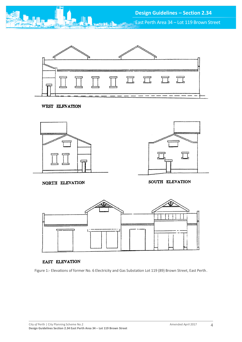

East Perth Area 34 – Lot 119 Brown Street



WEST ELEVATION



NORTH ELEVATION

SOUTH ELEVATION



#### EAST ELEVATION

Figure 1:- Elevations of former No. 6 Electricity and Gas Substation Lot 119 (89) Brown Street, East Perth.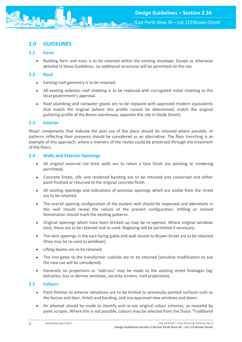# <span id="page-5-0"></span>**2.0 GUIDELINES**

## <span id="page-5-1"></span>**2.1 Form**

• Building form and mass is to be retained within the existing envelope. Except as otherwise detailed in these Guidelines, no additional structures will be permitted on the site.

## <span id="page-5-2"></span>**2.2 Roof**

- Existing roof geometry is to be retained.
- All existing asbestos roof sheeting is to be replaced with corrugated metal sheeting to the local government's approval.
- Roof plumbing and rainwater goods are to be replaced with approved modern equivalents that match the original (where this profile cannot be determined, match the original guttering profile of the Boans warehouse, opposite this site in Glyde Street).

## <span id="page-5-3"></span>**2.3 Interior**

Major components that indicate the past use of the place should be retained where possible, or patterns reflecting their presence should be considered as an alternative. The floor trenching is an example of this approach, where a memory of the routes could be preserved through the treatment of the floors.

## <span id="page-5-4"></span>**2.4 Walls and Exterior Openings**

- All original external red brick walls are to retain a face finish (no painting or rendering permitted).
- Concrete lintels, sills and rendered banding are to be retained and conserved and either paint finished or returned to the original concrete finish.
- All existing openings and indications of previous openings which are visible from the street are to be retained.
- The overall opening configuration of the eastern wall should be respected and alterations in this wall should reveal the nature of the present configuration. Infilling or revised fenestration should mark the existing patterns.
- Original openings which have been bricked up may be re-opened. Where original windows exist, these are to be retained and re-used. Reglazing will be permitted if necessary.
- The vent openings in the east facing gable end wall closest to Brown Street are to be retained (they may be re-used as windows).
- Lifting beams are to be retained.
- The iron gates to the transformer cubicles are to be retained (sensitive modification to suit the new use will be considered).
- Generally no projections or "add-ons" may be made to the existing street frontages (eg: balconies, bay or dormer windows, security screens, roof projections).

## <span id="page-5-5"></span>**2.5 Colours**

- Paint finishes to exterior elevations are to be limited to previously painted surfaces such as the fascias and door, lintels and banding, and any approved new windows and doors.
- An attempt should be made to identify and re-use original colour schemes, as revealed by paint scrapes. Where this is not possible, colours may be selected from the Dulux "Traditional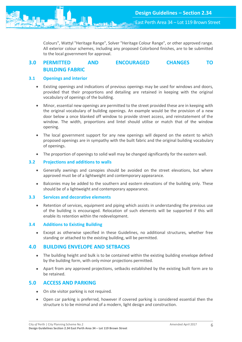Colours", Wattyl "Heritage Range", Solver "Heritage Colour Range", or other approved range. All exterior colour schemes, including any proposed Colorbond finishes, are to be submitted to the local government for approval.

# <span id="page-6-0"></span>**3.0 PERMITTED AND ENCOURAGED CHANGES TO BUILDING FABRIC**

## <span id="page-6-1"></span>**3.1 Openings and interior**

- Existing openings and indications of previous openings may be used for windows and doors, provided that their proportions and detailing are retained in keeping with the original vocabulary of openings of the building.
- Minor, essential new openings are permitted to the street provided these are in keeping with the original vocabulary of building openings. An example would be the provision of a new door below a once blanked off window to provide street access, and reinstatement of the window. The width, proportions and lintel should utilise or match that of the window opening.
- The local government support for any new openings will depend on the extent to which proposed openings are in sympathy with the built fabric and the original building vocabulary of openings.
- The proportion of openings to solid wall may be changed significantly for the eastern wall.

## <span id="page-6-2"></span>**3.2 Projections and additions to walls**

- Generally awnings and canopies should be avoided on the street elevations, but where approved must be of a lightweight and contemporary appearance.
- Balconies may be added to the southern and eastern elevations of the building only. These should be of a lightweight and contemporary appearance.

#### <span id="page-6-3"></span>**3.3 Services and decorative elements**

 Retention of services, equipment and piping which assists in understanding the previous use of the building is encouraged. Relocation of such elements will be supported if this will enable its retention within the redevelopment.

### <span id="page-6-4"></span>**3.4 Additions to Existing Building**

 Except as otherwise specified in these Guidelines, no additional structures, whether free standing or attached to the existing building, will be permitted.

## <span id="page-6-5"></span>**4.0 BUILDING ENVELOPE AND SETBACKS**

- The building height and bulk is to be contained within the existing building envelope defined by the building form, with only minor projections permitted.
- Apart from any approved projections, setbacks established by the existing built form are to be retained.

## <span id="page-6-6"></span>**5.0 ACCESS AND PARKING**

- On site visitor parking is not required.
- Open car parking is preferred, however if covered parking is considered essential then the structure is to be minimal and of a modern, light design and construction.